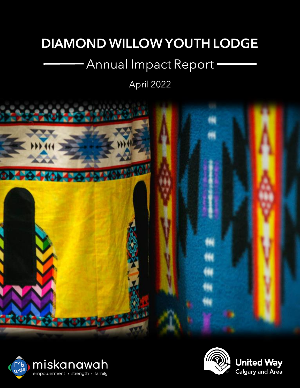## DIAMOND WILLOW YOUTH LODGE

# Annual Impact Report

April 2022





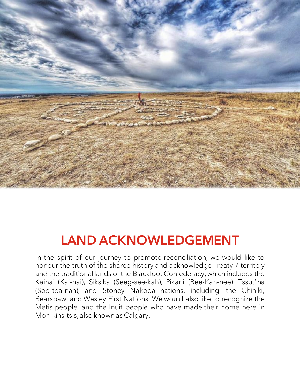

# LAND ACKNOWLEDGEMENT

In the spirit of our journey to promote reconciliation, we would like to honour the truth of the shared history and acknowledge Treaty 7 territory and the traditional lands of the Blackfoot Confederacy, which includes the Kainai (Kai-nai), Siksika (Seeg-see-kah), Pikani (Bee-Kah-nee), Tssut'ina (Soo-tea-nah), and Stoney Nakoda nations, including the Chiniki, Bearspaw, and Wesley First Nations. We would also like to recognize the Metis people, and the Inuit people who have made their home here in Moh-kins-tsis, also known as Calgary.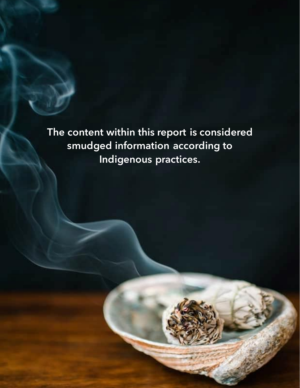**The content within this report is considered smudged information according to Indigenous practices.**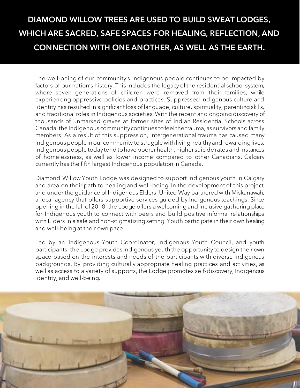### DIAMOND WILLOW TREES ARE USED TO BUILD SWEAT LODGES, WHICH ARE SACRED, SAFE SPACES FOR HEALING, REFLECTION, AND CONNECTION WITH ONE ANOTHER, AS WELL AS THE EARTH.

The well-being of our community's Indigenous people continues to be impacted by factors of our nation's history. This includes the legacy of the residential school system, where seven generations of children were removed from their families, while experiencing oppressive policies and practices. Suppressed Indigenous culture and identity has resulted in significant loss of language, culture, spirituality, parenting skills, and traditional roles in Indigenous societies. With the recent and ongoing discovery of thousands of unmarked graves at former sites of Indian Residential Schools across Canada, the Indigenous community continues to feel the trauma, as survivors and family members. As a result of this suppression, intergenerational trauma has caused many Indigenous people in our community to struggle with living healthy and rewarding lives. Indigenous people today tend to have poorer health, higher suicide rates and instances of homelessness, as well as lower income compared to other Canadians. Calgary currently has the fifth largest Indigenous population in Canada.

Diamond Willow Youth Lodge was designed to support Indigenous youth in Calgary and area on their path to healing and well-being. In the development of this project, and under the guidance of Indigenous Elders, United Way partnered with Miskanawah, a local agency that offers supportive services guided by Indigenous teachings. Since opening in the fall of 2018, the Lodge offers a welcoming and inclusive gathering place for Indigenous youth to connect with peers and build positive informal relationships with Elders in a safe and non-stigmatizing setting. Youth participate in their own healing and well-being at their own pace.

Led by an Indigenous Youth Coordinator, Indigenous Youth Council, and youth participants, the Lodge provides Indigenous youth the opportunity to design their own space based on the interests and needs of the participants with diverse Indigenous backgrounds. By providing culturally appropriate healing practices and activities, as well as access to a variety of supports, the Lodge promotes self-discovery, Indigenous identity, and well-being.

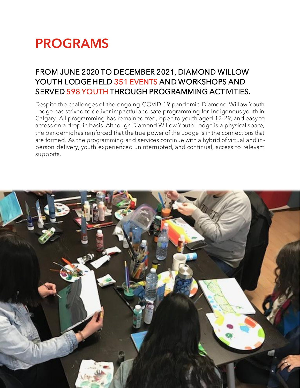## PROGRAMS

### FROM JUNE 2020 TO DECEMBER 2021, DIAMOND WILLOW YOUTH LODGE HELD 351 EVENTS AND WORKSHOPS AND SERVED 598 YOUTH THROUGH PROGRAMMING ACTIVITIES.

Despite the challenges of the ongoing COVID-19 pandemic, Diamond Willow Youth Lodge has strived to deliver impactful and safe programming for Indigenous youth in Calgary. All programming has remained free, open to youth aged 12-29, and easy to access on a drop-in basis. Although Diamond Willow Youth Lodge is a physical space, the pandemic has reinforced that the true power of the Lodge is in the connections that are formed. As the programming and services continue with a hybrid of virtual and inperson delivery, youth experienced uninterrupted, and continual, access to relevant supports.

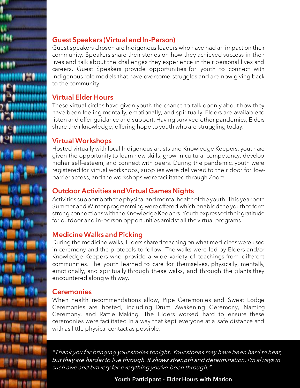

### Guest Speakers (Virtual and In-Person)

Guest speakers chosen are Indigenous leaders who have had an impact on their community. Speakers share their stories on how they achieved success in their lives and talk about the challenges they experience in their personal lives and careers. Guest Speakers provide opportunities for youth to connect with Indigenous role models that have overcome struggles and are now giving back to the community.

#### Virtual Elder Hours

These virtual circles have given youth the chance to talk openly about how they have been feeling mentally, emotionally, and spiritually. Elders are available to listen and offer guidance and support. Having survived other pandemics, Elders share their knowledge, offering hope to youth who are struggling today.

#### Virtual Workshops

Hosted virtually with local Indigenous artists and Knowledge Keepers, youth are given the opportunity to learn new skills, grow in cultural competency, develop higher self-esteem, and connect with peers. During the pandemic, youth were registered for virtual workshops, supplies were delivered to their door for lowbarrier access, and the workshops were facilitated through Zoom.

### Outdoor Activities and Virtual Games Nights

Activities support both the physical and mental health of the youth. This year both Summer and Winter programming were offered which enabled the youth to form strong connections with the Knowledge Keepers. Youth expressed their gratitude for outdoor and in-person opportunities amidst all the virtual programs.

### Medicine Walks and Picking

During the medicine walks, Elders shared teaching on what medicines were used in ceremony and the protocols to follow. The walks were led by Elders and/or Knowledge Keepers who provide a wide variety of teachings from different communities. The youth learned to care for themselves, physically, mentally, emotionally, and spiritually through these walks, and through the plants they encountered along with way.

#### **Ceremonies**

When health recommendations allow, Pipe Ceremonies and Sweat Lodge Ceremonies are hosted, including Drum Awakening Ceremony, Naming Ceremony, and Rattle Making. The Elders worked hard to ensure these ceremonies were facilitated in a way that kept everyone at a safe distance and with as little physical contact as possible.

"Thank you for bringing your stories tonight. Your stories may have been hard to hear, but they are harder to live through. It shows strength and determination. I'm always in such awe and bravery for everything you've been through."

**Youth Participant - Elder Hours with Marion**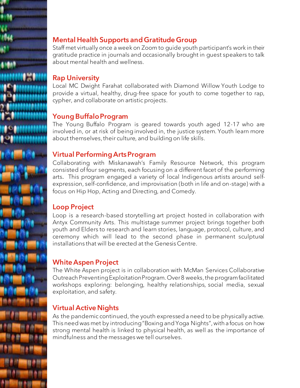

Staff met virtually once a week on Zoom to guide youth participant's work in their gratitude practice in journals and occasionally brought in guest speakers to talk about mental health and wellness.

#### Rap University

Local MC Dwight Farahat collaborated with Diamond Willow Youth Lodge to provide a virtual, healthy, drug-free space for youth to come together to rap, cypher, and collaborate on artistic projects.

#### Young Buffalo Program

The Young Buffalo Program is geared towards youth aged 12-17 who are involved in, or at risk of being involved in, the justice system. Youth learn more about themselves, their culture, and building on life skills.

#### Virtual Performing Arts Program

Collaborating with Miskanawah's Family Resource Network, this program consisted of four segments, each focusing on a different facet of the performing arts. This program engaged a variety of local Indigenous artists around selfexpression, self-confidence, and improvisation (both in life and on-stage) with a focus on Hip Hop, Acting and Directing, and Comedy.

#### Loop Project

Loop is a research-based storytelling art project hosted in collaboration with Antyx Community Arts. This multistage summer project brings together both youth and Elders to research and learn stories, language, protocol, culture, and ceremony which will lead to the second phase in permanent sculptural installations that will be erected at the Genesis Centre.

#### White Aspen Project

The White Aspen project is in collaboration with McMan Services Collaborative Outreach Preventing Exploitation Program. Over 8 weeks, the program facilitated workshops exploring: belonging, healthy relationships, social media, sexual exploitation, and safety.

#### Virtual Active Nights

As the pandemic continued, the youth expressed a need to be physically active. This need was met by introducing "Boxing and Yoga Nights", with a focus on how strong mental health is linked to physical health, as well as the importance of mindfulness and the messages we tell ourselves.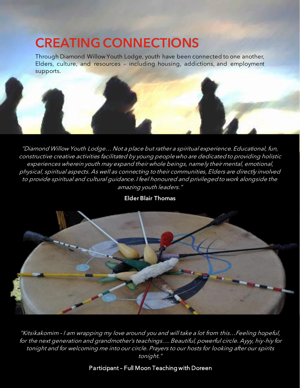# CREATING CONNECTIONS

Through Diamond Willow Youth Lodge, youth have been connected to one another, Elders, culture, and resources – including housing, addictions, and employment supports.



"Diamond Willow Youth Lodge… Not a place but rather a spiritual experience. Educational, fun, constructive creative activities facilitated by young people who are dedicated to providing holistic experiences wherein youth may expand their whole beings, namely their mental, emotional, physical, spiritual aspects. As well as connecting to their communities, Elders are directly involved to provide spiritual and cultural guidance. I feel honoured and privileged to work alongside the amazing youth leaders."



Elder Blair Thomas

"Kitsikakomim – I am wrapping my love around you and will take a lot from this…Feeling hopeful, for the next generation and grandmother's teachings…. Beautiful, powerful circle. Ayyy, hiy-hiy for tonight and for welcoming me into our circle. Prayers to our hosts for looking after our spirits tonight."

#### Participant – Full Moon Teaching with Doreen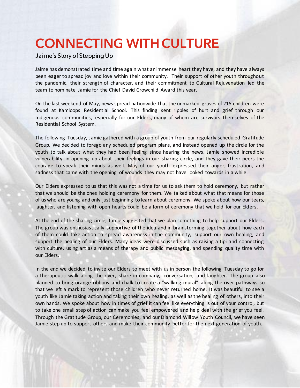### CONNECTING WITH CULTURE

#### Jaime's Story of Stepping Up

Jaime has demonstrated time and time again what an immense heart they have, and they have always been eager to spread joy and love within their community. Their support of other youth throughout the pandemic, their strength of character, and their commitment to Cultural Rejuvenation led the team to nominate Jamie for the Chief David Crowchild Award this year.

On the last weekend of May, news spread nationwide that the unmarked graves of 215 children were found at Kamloops Residential School. This finding sent ripples of hurt and grief through our Indigenous communities, especially for our Elders, many of whom are survivors themselves of the Residential School System.

The following Tuesday, Jamie gathered with a group of youth from our regularly scheduled Gratitude Group. We decided to forego any scheduled program plans, and instead opened up the circle for the youth to talk about what they had been feeling since hearing the news. Jamie showed incredible vulnerability in opening up about their feelings in our sharing circle, and they gave their peers the courage to speak their minds as well. May of our youth expressed their anger, frustration, and sadness that came with the opening of wounds they may not have looked towards in a while.

Our Elders expressed to us that this was not a time for us to ask them to hold ceremony, but rather that we should be the ones holding ceremony for them. We talked about what that means for those of us who are young and only just beginning to learn about ceremony. We spoke about how our tears, laughter, and listening with open hearts could be a form of ceremony that we hold for our Elders.

At the end of the sharing circle, Jamie suggested that we plan something to help support our Elders. The group was enthusiastically supportive of the idea and in brainstorming together about how each of them could take action to spread awareness in the community, support our own healing, and support the healing of our Elders. Many ideas were discussed such as raising a tipi and connecting with culture, using art as a means of therapy and public messaging, and spending quality time with our Elders.

In the end we decided to invite our Elders to meet with us in person the following Tuesday to go for a therapeutic walk along the river, share in company, conversation, and laughter. The group also planned to bring orange ribbons and chalk to create a "walking mural" along the river pathways so that we left a mark to represent those children who never returned home. It was beautiful to see a youth like Jamie taking action and taking their own healing, as well as the healing of others, into their own hands. We spoke about how in times of grief it can feel like everything is out of your control, but to take one small step of action can make you feel empowered and help deal with the grief you feel. Through the Gratitude Group, our Ceremonies, and our Diamond Willow Youth Council, we have seen Jamie step up to support others and make their community better for the next generation of youth.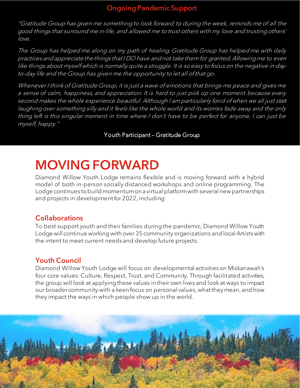#### Ongoing Pandemic Support

"Gratitude Group has given me something to look forward to during the week, reminds me of all the good things that surround me in life, and allowed me to trust others with my love and trusting others' love.

The Group has helped me along on my path of healing. Gratitude Group has helped me with daily practices and appreciate the things that I DO have and not take them for granted. Allowing me to even like things about myself which is normally quite a struggle. It is so easy to focus on the negative in dayto-day life and the Group has given me the opportunity to let all of that go.

Whenever I think of Gratitude Group, it is just a wave of emotions that brings me peace and gives me a sense of calm, happiness, and appreciation. It is hard to just pick up one moment because every second makes the whole experience beautiful. Although I am particularly fond of when we all just start laughing over something silly and it feels like the whole world and its worries fade away and the only thing left is this singular moment in time where I don't have to be perfect for anyone, I can just be myself, happy."

#### Youth Participant – Gratitude Group

## MOVING FORWARD

Diamond Willow Youth Lodge remains flexible and is moving forward with a hybrid model of both in-person socially distanced workshops and online programming. The Lodge continues to build momentum on a virtual platform with several new partnerships and projects in development for 2022, including:

#### Collaborations

To best support youth and their families during the pandemic, Diamond Willow Youth Lodge will continue working with over 35 community organizations and local Artists with the intent to meet current needs and develop future projects.

#### Youth Council

Diamond Willow Youth Lodge will focus on developmental activities on Miskanawah's four core values: Culture, Respect, Trust, and Community. Through facilitated activities, the group will look at applying these values in their own lives and look at ways to impact our broader community with a keen focus on personal values, what they mean, and how they impact the ways in which people show up in the world.